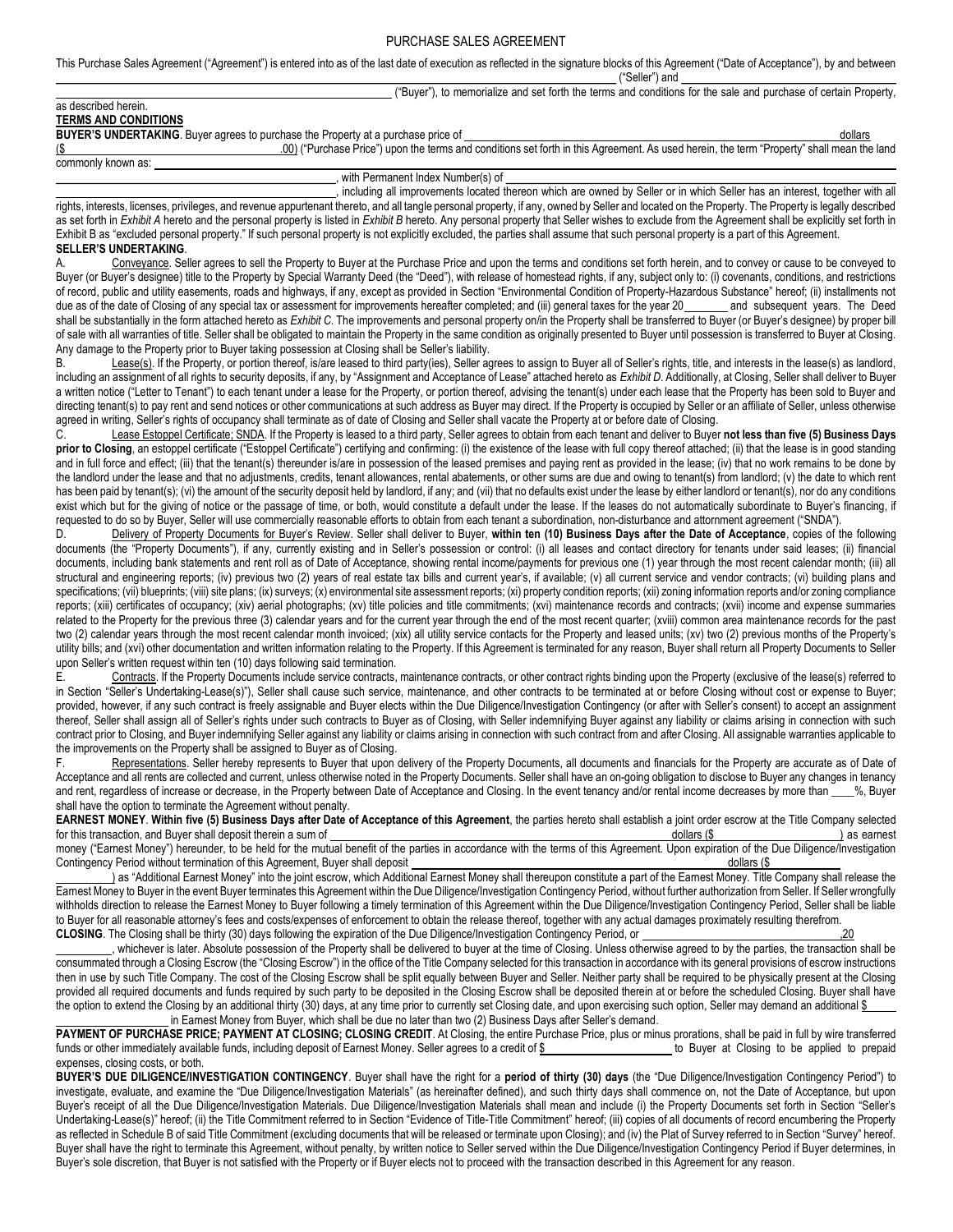This Purchase Sales Agreement ("Agreement") is entered into as of the last date of execution as reflected in the signature blocks of this Agreement ("Date of Acceptance"), by and between

|        |                              | היי<br>Seller" | ⊧and |                                                |                                 |  |
|--------|------------------------------|----------------|------|------------------------------------------------|---------------------------------|--|
| "Buver | to memorialize and set forth |                |      | h the terms and conditions for the sale and r. | 1 purchase of certain Property. |  |

# as described herein.

TERMS AND CONDITIONS

BUYER'S UNDERTAKING. Buyer agrees to purchase the Property at a purchase price of **contained a purchase** price of the Contained and the Contained and the Contained and the Contained and the Contained and the Contained and (\$ .00) ("Purchase Price") upon the terms and conditions set forth in this Agreement. As used herein, the term "Property" shall mean the land

commonly known as:

#### with Permanent Index Number(s) of

including all improvements located thereon which are owned by Seller or in which Seller has an interest, together with all rights, interests, licenses, privileges, and revenue appurtenant thereto, and all tangle personal property, if any, owned by Seller and located on the Property. The Property is legally described as set forth in Exhibit A hereto and the personal property is listed in Exhibit B hereto. Any personal property that Seller wishes to exclude from the Agreement shall be explicitly set forth in Exhibit B as "excluded personal property." If such personal property is not explicitly excluded, the parties shall assume that such personal property is a part of this Agreement. SELLER'S UNDERTAKING.

Conveyance. Seller agrees to sell the Property to Buyer at the Purchase Price and upon the terms and conditions set forth herein, and to convey or cause to be conveyed to Buyer (or Buyer's designee) title to the Property by Special Warranty Deed (the "Deed"), with release of homestead rights, if any, subject only to: (i) covenants, conditions, and restrictions of record, public and utility easements, roads and highways, if any, except as provided in Section "Environmental Condition of Property-Hazardous Substance" hereof; (ii) installments not due as of the date of Closing of an due as of the date of Closing of any special tax or assessment for improvements hereafter completed; and (iii) general taxes for the year 20 shall be substantially in the form attached hereto as Exhibit C. The improvements and personal property on/in the Property shall be transferred to Buyer (or Buyer's designee) by proper bill of sale with all warranties of title. Seller shall be obligated to maintain the Property in the same condition as originally presented to Buyer until possession is transferred to Buyer at Closing. Any damage to the Property prior to Buyer taking possession at Closing shall be Seller's liability.

B. Lease(s). If the Property, or portion thereof, is/are leased to third party(ies), Seller agrees to assign to Buyer all of Seller's rights, title, and interests in the lease(s) as landlord, including an assignment of all rights to security deposits, if any, by "Assignment and Acceptance of Lease" attached hereto as Exhibit D. Additionally, at Closing, Seller shall deliver to Buyer a written notice ("Letter to Tenant") to each tenant under a lease for the Property, or portion thereof, advising the tenant(s) under each lease that the Property has been sold to Buyer and directing tenant(s) to pay rent and send notices or other communications at such address as Buyer may direct. If the Property is occupied by Seller or an affiliate of Seller, unless otherwise agreed in writing, Seller's rights of occupancy shall terminate as of date of Closing and Seller shall vacate the Property at or before date of Closing.

C. Lease Estoppel Certificate; SNDA. If the Property is leased to a third party, Seller agrees to obtain from each tenant and deliver to Buyer not less than five (5) Business Days prior to Closing, an estoppel certificate ("Estoppel Certificate") certifying and confirming: (i) the existence of the lease with full copy thereof attached; (ii) that the lease is in good standing and in full force and effect; (iii) that the tenant(s) thereunder is/are in possession of the leased premises and paying rent as provided in the lease; (iv) that no work remains to be done by the landlord under the lease and that no adjustments, credits, tenant allowances, rental abatements, or other sums are due and owing to tenant(s) from landlord; (v) the date to which rent has been paid by tenant(s); (vi) the amount of the security deposit held by landlord, if any; and (vii) that no defaults exist under the lease by either landlord or tenant(s), nor do any conditions exist which but for the giving of notice or the passage of time, or both, would constitute a default under the lease. If the leases do not automatically subordinate to Buyer's financing, if requested to do so by Buyer, Seller will use commercially reasonable efforts to obtain from each tenant a subordination, non-disturbance and attornment agreement ("SNDA").

D. Delivery of Property Documents for Buyer's Review. Seller shall deliver to Buyer, within ten (10) Business Days after the Date of Acceptance, copies of the following documents (the "Property Documents"), if any, currently existing and in Seller's possession or control: (i) all leases and contact directory for tenants under said leases; (ii) financial documents, including bank statements and rent roll as of Date of Acceptance, showing rental income/payments for previous one (1) year through the most recent calendar month; (iii) all structural and engineering reports; (iv) previous two (2) years of real estate tax bills and current year's, if available; (v) all current service and vendor contracts; (vi) building plans and specifications; (vii) blueprints; (viii) site plans; (ix) surveys; (x) environmental site assessment reports; (xi) property condition reports; (xii) zoning information reports and/or zoning compliance reports; (xiii) certificates of occupancy; (xiv) aerial photographs; (xv) title policies and title commitments; (xvi) maintenance records and contracts; (xvii) income and expense summaries related to the Property for the previous three (3) calendar years and for the current year through the end of the most recent quarter; (xviii) common area maintenance records for the past two (2) calendar years through the most recent calendar month invoiced; (xix) all utility service contacts for the Property and leased units; (xv) two (2) previous months of the Property's utility bills; and (xvi) other documentation and written information relating to the Property. If this Agreement is terminated for any reason, Buyer shall return all Property Documents to Seller upon Seller's written request within ten (10) days following said termination.

E. Contracts. If the Property Documents include service contracts, maintenance contracts, or other contract rights binding upon the Property (exclusive of the lease(s) referred to in Section "Seller's Undertaking-Lease(s)"), Seller shall cause such service, maintenance, and other contracts to be terminated at or before Closing without cost or expense to Buyer; provided, however, if any such contract is freely assignable and Buyer elects within the Due Diligence/Investigation Contingency (or after with Seller's consent) to accept an assignment thereof, Seller shall assign all of Seller's rights under such contracts to Buyer as of Closing, with Seller indemnifying Buyer against any liability or claims arising in connection with such contract prior to Closing, and Buyer indemnifying Seller against any liability or claims arising in connection with such contract from and after Closing. All assignable warranties applicable to the improvements on the Property shall be assigned to Buyer as of Closing.

F. Representations. Seller hereby represents to Buyer that upon delivery of the Property Documents, all documents and financials for the Property are accurate as of Date of Acceptance and all rents are collected and current, unless otherwise noted in the Property Documents. Seller shall have an on-going obligation to disclose to Buyer any changes in tenancy and rent, regardless of increase or decrease, in the Property between Date of Acceptance and Closing. In the event tenancy and/or rental income decreases by more than \_\_\_\_%, Buyer shall have the option to terminate the Agreement without penalty.

EARNEST MONEY. Within five (5) Business Days after Date of Acceptance of this Agreement, the parties hereto shall establish a joint order escrow at the Title Company selected<br>for this transaction, and Buyer shall deposit t for this transaction, and Buyer shall deposit therein a sum of dollars (\$ dollars (\$ ) as earnest

money ("Earnest Money") hereunder, to be held for the mutual benefit of the parties in accordance with the terms of this Agreement. Upon expiration of the Due Diligence/Investigation<br>Contingency Period without termination Contingency Period without termination of this Agreement, Buyer shall deposit

) as "Additional Earnest Money" into the joint escrow, which Additional Earnest Money shall thereupon constitute a part of the Earnest Money. Title Company shall release the Earnest Money to Buyer in the event Buyer terminates this Agreement within the Due Diligence/Investigation Contingency Period, without further authorization from Seller. If Seller wrongfully withholds direction to release the Earnest Money to Buyer following a timely termination of this Agreement within the Due Diligence/Investigation Contingency Period, Seller shall be liable to Buyer for all reasonable attorney's fees and costs/expenses of enforcement to obtain the release thereof, together with any actual damages proximately resulting therefrom. CLOSING. The Closing shall be thirty (30) days following the expiration of the Due Diligence/Investigation Contingency Period, or ,20

 , whichever is later. Absolute possession of the Property shall be delivered to buyer at the time of Closing. Unless otherwise agreed to by the parties, the transaction shall be consummated through a Closing Escrow (the "Closing Escrow") in the office of the Title Company selected for this transaction in accordance with its general provisions of escrow instructions then in use by such Title Company. The cost of the Closing Escrow shall be split equally between Buyer and Seller. Neither party shall be required to be physically present at the Closing provided all required documents and funds required by such party to be deposited in the Closing Escrow shall be deposited therein at or before the scheduled Closing. Buyer shall have the option to extend the Closing by an additional thirty (30) days, at any time prior to currently set Closing date, and upon exercising such option, Seller may demand an additional \$ in Earnest Money from Buyer, which shall be due no later than two (2) Business Days after Seller's demand.

PAYMENT OF PURCHASE PRICE; PAYMENT AT CLOSING; CLOSING CREDIT. At Closing, the entire Purchase Price, plus or minus prorations, shall be paid in full by wire transferred funds or other immediately available funds, including deposit of Earnest Money. Seller agrees to a credit of \$ to Buyer at Closing to be applied to prepaid expenses, closing costs, or both.

BUYER'S DUE DILIGENCE/INVESTIGATION CONTINGENCY. Buyer shall have the right for a period of thirty (30) days (the "Due Diligence/Investigation Contingency Period") to investigate, evaluate, and examine the "Due Diligence/Investigation Materials" (as hereinafter defined), and such thirty days shall commence on, not the Date of Acceptance, but upon Buyer's receipt of all the Due Diligence/Investigation Materials. Due Diligence/Investigation Materials shall mean and include (i) the Property Documents set forth in Section "Seller's Undertaking-Lease(s)" hereof; (ii) the Title Commitment referred to in Section "Evidence of Title-Title Commitment" hereof; (iii) copies of all documents of record encumbering the Property as reflected in Schedule B of said Title Commitment (excluding documents that will be released or terminate upon Closing); and (iv) the Plat of Survey referred to in Section "Survey" hereof. Buyer shall have the right to terminate this Agreement, without penalty, by written notice to Seller served within the Due Diligence/Investigation Contingency Period if Buyer determines, in Buyer's sole discretion, that Buyer is not satisfied with the Property or if Buyer elects not to proceed with the transaction described in this Agreement for any reason.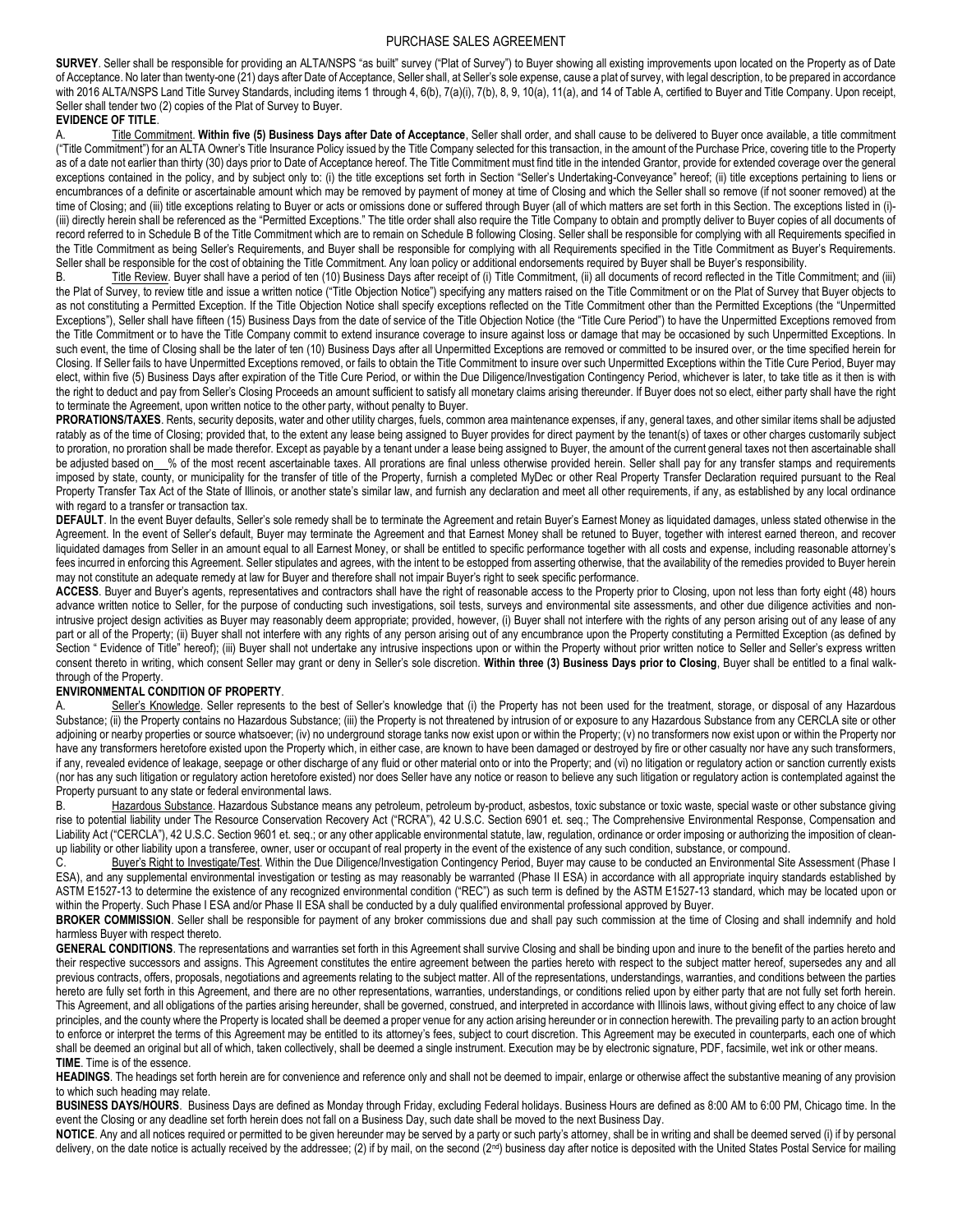SURVEY. Seller shall be responsible for providing an ALTA/NSPS "as built" survey ("Plat of Survey") to Buyer showing all existing improvements upon located on the Property as of Date of Acceptance. No later than twenty-one (21) days after Date of Acceptance, Seller shall, at Seller's sole expense, cause a plat of survey, with legal description, to be prepared in accordance with 2016 ALTA/NSPS Land Title Survey Standards, including items 1 through 4, 6(b), 7(a)(i), 7(b), 8, 9, 10(a), 11(a), and 14 of Table A, certified to Buyer and Title Company. Upon receipt, Seller shall tender two (2) copies of the Plat of Survey to Buyer.

### EVIDENCE OF TITLE.

Title Commitment. Within five (5) Business Days after Date of Acceptance, Seller shall order, and shall cause to be delivered to Buyer once available, a title commitment ("Title Commitment") for an ALTA Owner's Title Insurance Policy issued by the Title Company selected for this transaction, in the amount of the Purchase Price, covering title to the Property as of a date not earlier than thirty (30) days prior to Date of Acceptance hereof. The Title Commitment must find title in the intended Grantor, provide for extended coverage over the general exceptions contained in the policy, and by subject only to: (i) the title exceptions set forth in Section "Seller's Undertaking-Conveyance" hereof; (ii) title exceptions pertaining to liens or encumbrances of a definite or ascertainable amount which may be removed by payment of money at time of Closing and which the Seller shall so remove (if not sooner removed) at the time of Closing; and (iii) title exceptions relating to Buyer or acts or omissions done or suffered through Buyer (all of which matters are set forth in this Section. The exceptions listed in (i)-(iii) directly herein shall be referenced as the "Permitted Exceptions." The title order shall also require the Title Company to obtain and promptly deliver to Buyer copies of all documents of record referred to in Schedule B of the Title Commitment which are to remain on Schedule B following Closing. Seller shall be responsible for complying with all Requirements specified in the Title Commitment as being Seller's Requirements, and Buyer shall be responsible for complying with all Requirements specified in the Title Commitment as Buyer's Requirements. Seller shall be responsible for the cost of obtaining the Title Commitment. Any loan policy or additional endorsements required by Buyer shall be Buyer's responsibility.

B. Title Review. Buyer shall have a period of ten (10) Business Days after receipt of (i) Title Commitment, (ii) all documents of record reflected in the Title Commitment; and (iii) the Plat of Survey, to review title and issue a written notice ("Title Objection Notice") specifying any matters raised on the Title Commitment or on the Plat of Survey that Buyer objects to as not constituting a Permitted Exception. If the Title Objection Notice shall specify exceptions reflected on the Title Commitment other than the Permitted Exceptions (the "Unpermitted Exceptions"), Seller shall have fifteen (15) Business Days from the date of service of the Title Objection Notice (the "Title Cure Period") to have the Unpermitted Exceptions removed from the Title Commitment or to have the Title Company commit to extend insurance coverage to insure against loss or damage that may be occasioned by such Unpermitted Exceptions. In such event, the time of Closing shall be the later of ten (10) Business Days after all Unpermitted Exceptions are removed or committed to be insured over, or the time specified herein for Closing. If Seller fails to have Unpermitted Exceptions removed, or fails to obtain the Title Commitment to insure over such Unpermitted Exceptions within the Title Cure Period, Buyer may elect, within five (5) Business Days after expiration of the Title Cure Period, or within the Due Diligence/Investigation Contingency Period, whichever is later, to take title as it then is with the right to deduct and pay from Seller's Closing Proceeds an amount sufficient to satisfy all monetary claims arising thereunder. If Buyer does not so elect, either party shall have the right to terminate the Agreement, upon written notice to the other party, without penalty to Buyer.

PRORATIONS/TAXES. Rents, security deposits, water and other utility charges, fuels, common area maintenance expenses, if any, general taxes, and other similar items shall be adjusted ratably as of the time of Closing; provided that, to the extent any lease being assigned to Buyer provides for direct payment by the tenant(s) of taxes or other charges customarily subject to proration, no proration shall be made therefor. Except as payable by a tenant under a lease being assigned to Buyer, the amount of the current general taxes not then ascertainable shall be adjusted based on\_\_% of the most recent ascertainable taxes. All prorations are final unless otherwise provided herein. Seller shall pay for any transfer stamps and requirements imposed by state, county, or municipality for the transfer of title of the Property, furnish a completed MyDec or other Real Property Transfer Declaration required pursuant to the Real Property Transfer Tax Act of the State of Illinois, or another state's similar law, and furnish any declaration and meet all other requirements, if any, as established by any local ordinance with regard to a transfer or transaction tax.

DEFAULT. In the event Buyer defaults, Seller's sole remedy shall be to terminate the Agreement and retain Buyer's Earnest Money as liquidated damages, unless stated otherwise in the Agreement. In the event of Seller's default, Buyer may terminate the Agreement and that Earnest Money shall be retuned to Buyer, together with interest earned thereon, and recover liquidated damages from Seller in an amount equal to all Earnest Money, or shall be entitled to specific performance together with all costs and expense, including reasonable attorney's fees incurred in enforcing this Agreement. Seller stipulates and agrees, with the intent to be estopped from asserting otherwise, that the availability of the remedies provided to Buyer herein may not constitute an adequate remedy at law for Buyer and therefore shall not impair Buyer's right to seek specific performance.

ACCESS. Buyer and Buyer's agents, representatives and contractors shall have the right of reasonable access to the Property prior to Closing, upon not less than forty eight (48) hours advance written notice to Seller, for the purpose of conducting such investigations, soil tests, surveys and environmental site assessments, and other due diligence activities and nonintrusive project design activities as Buyer may reasonably deem appropriate; provided, however, (i) Buyer shall not interfere with the rights of any person arising out of any lease of any part or all of the Property; (ii) Buyer shall not interfere with any rights of any person arising out of any encumbrance upon the Property constituting a Permitted Exception (as defined by Section " Evidence of Title" hereof); (iii) Buyer shall not undertake any intrusive inspections upon or within the Property without prior written notice to Seller and Seller's express written consent thereto in writing, which consent Seller may grant or deny in Seller's sole discretion. Within three (3) Business Days prior to Closing, Buyer shall be entitled to a final walkthrough of the Property.

### ENVIRONMENTAL CONDITION OF PROPERTY.

Seller's Knowledge. Seller represents to the best of Seller's knowledge that (i) the Property has not been used for the treatment, storage, or disposal of any Hazardous Substance; (ii) the Property contains no Hazardous Substance; (iii) the Property is not threatened by intrusion of or exposure to any Hazardous Substance from any CERCLA site or other adjoining or nearby properties or source whatsoever; (iv) no underground storage tanks now exist upon or within the Property; (v) no transformers now exist upon or within the Property nor have any transformers heretofore existed upon the Property which, in either case, are known to have been damaged or destroyed by fire or other casualty nor have any such transformers, if any, revealed evidence of leakage, seepage or other discharge of any fluid or other material onto or into the Property; and (vi) no litigation or regulatory action or sanction currently exists (nor has any such litigation or regulatory action heretofore existed) nor does Seller have any notice or reason to believe any such litigation or regulatory action is contemplated against the Property pursuant to any state or federal environmental laws.

Hazardous Substance. Hazardous Substance means any petroleum, petroleum by-product, asbestos, toxic substance or toxic waste, special waste or other substance giving rise to potential liability under The Resource Conservation Recovery Act ("RCRA"), 42 U.S.C. Section 6901 et. seq.; The Comprehensive Environmental Response, Compensation and Liability Act ("CERCLA"), 42 U.S.C. Section 9601 et. seq.; or any other applicable environmental statute, law, regulation, ordinance or order imposing or authorizing the imposition of cleanup liability or other liability upon a transferee, owner, user or occupant of real property in the event of the existence of any such condition, substance, or compound.<br>C. Buver's Right to Investigate/Test, Within the Due

Buyer's Right to Investigate/Test. Within the Due Diligence/Investigation Contingency Period, Buyer may cause to be conducted an Environmental Site Assessment (Phase I ESA), and any supplemental environmental investigation or testing as may reasonably be warranted (Phase II ESA) in accordance with all appropriate inquiry standards established by ASTM E1527-13 to determine the existence of any recognized environmental condition ("REC") as such term is defined by the ASTM E1527-13 standard, which may be located upon or within the Property. Such Phase I ESA and/or Phase II ESA shall be conducted by a duly qualified environmental professional approved by Buyer.

BROKER COMMISSION. Seller shall be responsible for payment of any broker commissions due and shall pay such commission at the time of Closing and shall indemnify and hold harmless Buyer with respect thereto.

GENERAL CONDITIONS. The representations and warranties set forth in this Agreement shall survive Closing and shall be binding upon and inure to the benefit of the parties hereto and their respective successors and assigns. This Agreement constitutes the entire agreement between the parties hereto with respect to the subject matter hereof, supersedes any and all previous contracts, offers, proposals, negotiations and agreements relating to the subject matter. All of the representations, understandings, warranties, and conditions between the parties hereto are fully set forth in this Agreement, and there are no other representations, warranties, understandings, or conditions relied upon by either party that are not fully set forth herein. This Agreement, and all obligations of the parties arising hereunder, shall be governed, construed, and interpreted in accordance with Illinois laws, without giving effect to any choice of law principles, and the county where the Property is located shall be deemed a proper venue for any action arising hereunder or in connection herewith. The prevailing party to an action brought to enforce or interpret the terms of this Agreement may be entitled to its attorney's fees, subject to court discretion. This Agreement may be executed in counterparts, each one of which shall be deemed an original but all of which, taken collectively, shall be deemed a single instrument. Execution may be by electronic signature, PDF, facsimile, wet ink or other means. TIME. Time is of the essence.

HEADINGS. The headings set forth herein are for convenience and reference only and shall not be deemed to impair, enlarge or otherwise affect the substantive meaning of any provision to which such heading may relate.

BUSINESS DAYS/HOURS. Business Days are defined as Monday through Friday, excluding Federal holidays. Business Hours are defined as 8:00 AM to 6:00 PM, Chicago time. In the event the Closing or any deadline set forth herein does not fall on a Business Day, such date shall be moved to the next Business Day.

NOTICE. Any and all notices required or permitted to be given hereunder may be served by a party or such party's attorney, shall be in writing and shall be deemed served (i) if by personal delivery, on the date notice is actually received by the addressee; (2) if by mail, on the second (2<sup>nd</sup>) business day after notice is deposited with the United States Postal Service for mailing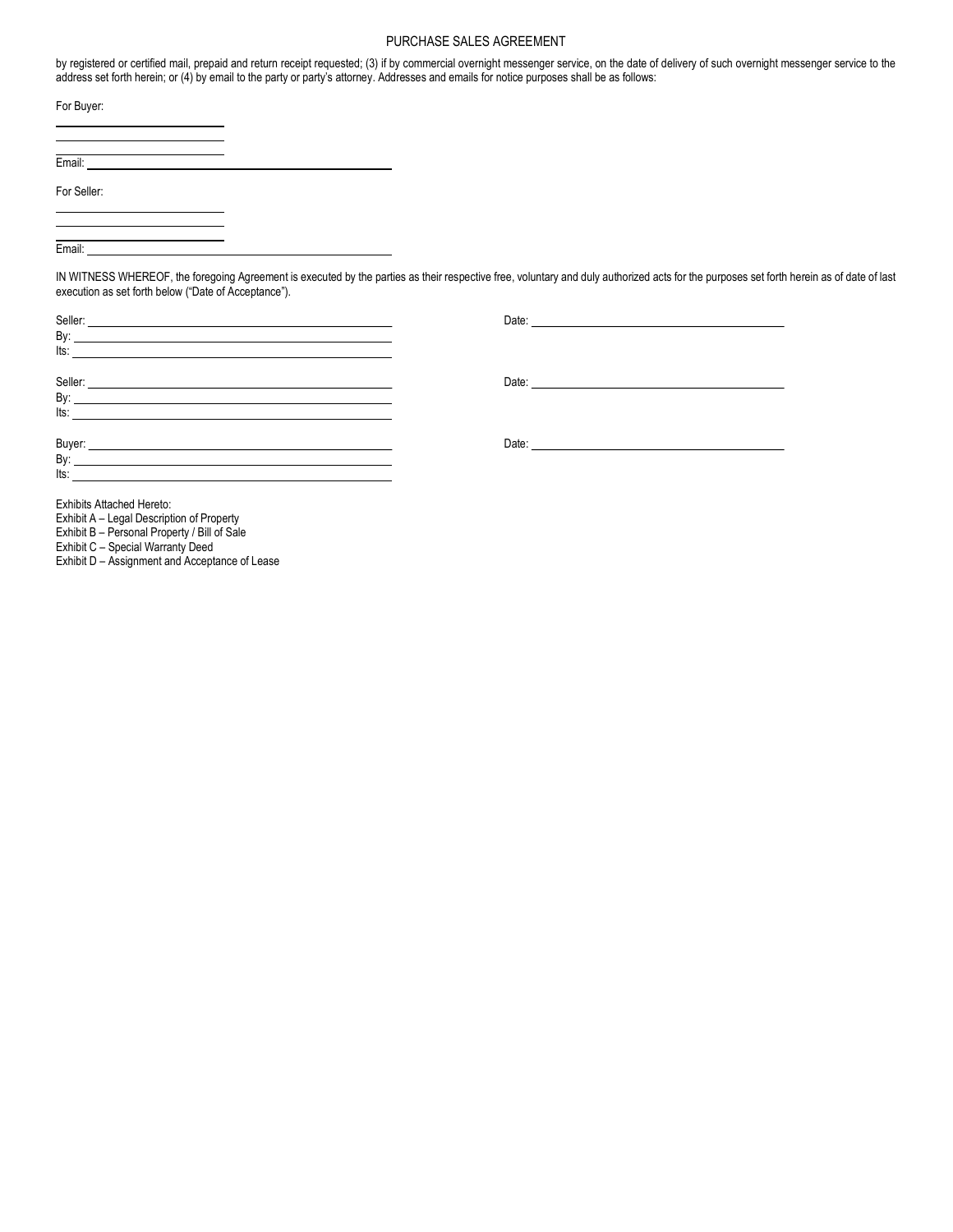by registered or certified mail, prepaid and return receipt requested; (3) if by commercial overnight messenger service, on the date of delivery of such overnight messenger service to the address set forth herein; or (4) by email to the party or party's attorney. Addresses and emails for notice purposes shall be as follows:

| For Buyer:  |  |
|-------------|--|
|             |  |
| Email:      |  |
| For Seller: |  |
|             |  |

Email:

IN WITNESS WHEREOF, the foregoing Agreement is executed by the parties as their respective free, voluntary and duly authorized acts for the purposes set forth herein as of date of last execution as set forth below ("Date of Acceptance").

| By:<br>$\overline{\mathsf{Its}}$ :                                                                                                                                                                                                                                                                                                          |                   |
|---------------------------------------------------------------------------------------------------------------------------------------------------------------------------------------------------------------------------------------------------------------------------------------------------------------------------------------------|-------------------|
| Seller:<br><u> 1980 - Johann John Stein, marwolaethau (b. 1980)</u><br>By: <u>service</u> and the service of the service of the service of the service of the service of the service of the service of the service of the service of the service of the service of the service of the service of the servi<br>$\overline{\phantom{a}}$ its: |                   |
| Buyer:<br>Bv:<br>lts:                                                                                                                                                                                                                                                                                                                       | Date: <b>Date</b> |

Exhibits Attached Hereto:

Exhibit A – Legal Description of Property

Exhibit B – Personal Property / Bill of Sale

Exhibit C – Special Warranty Deed

Exhibit D – Assignment and Acceptance of Lease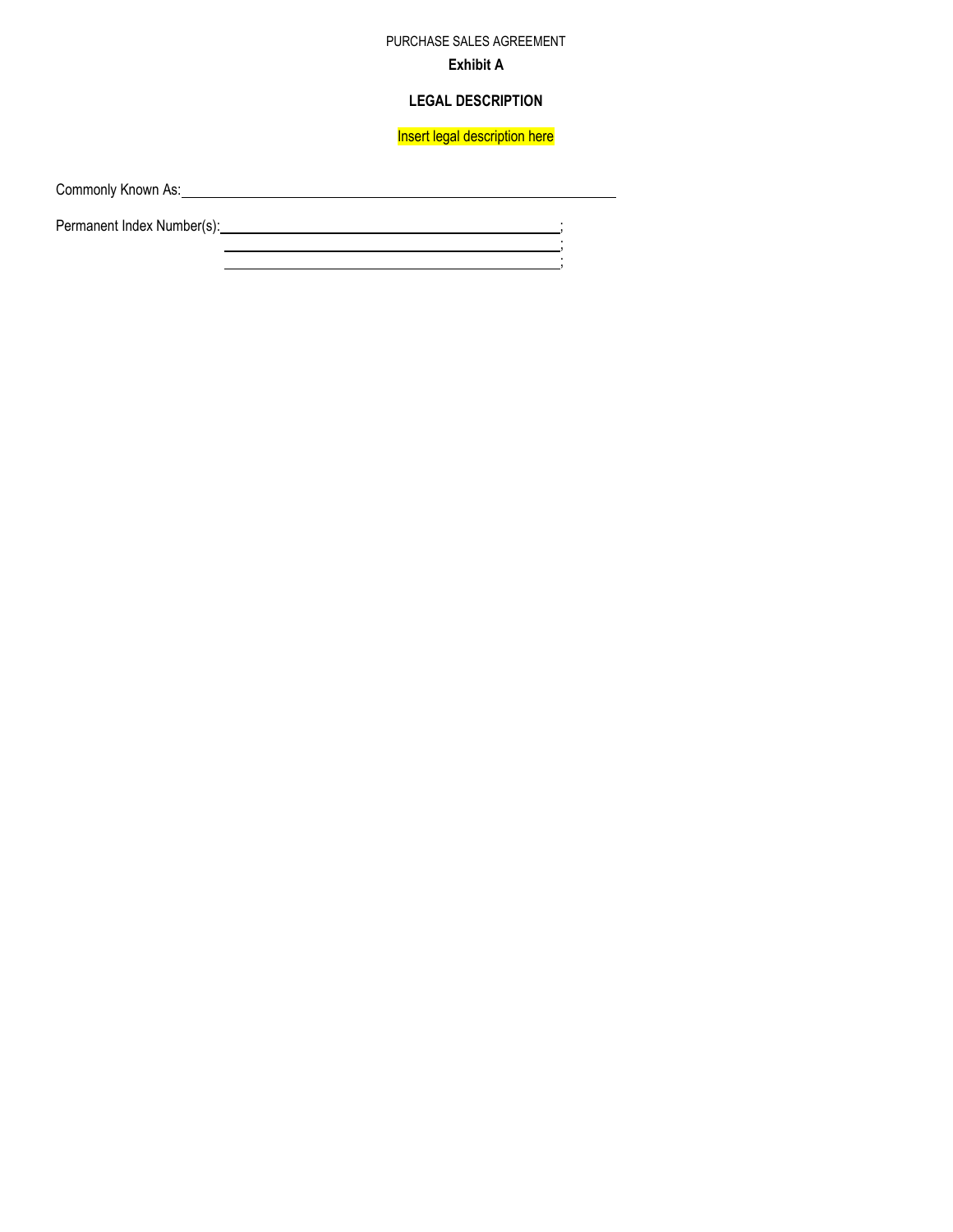# PURCHASE SALES AGREEMENT Exhibit A

## LEGAL DESCRIPTION

Insert legal description here

 $\frac{1}{2}$ ;  $\frac{1}{2}$ ;  $\frac{1}{2}$ ;  $\frac{1}{2}$ ;  $\frac{1}{2}$ ;  $\frac{1}{2}$ ;  $\frac{1}{2}$ ;  $\frac{1}{2}$ ;  $\frac{1}{2}$ ;  $\frac{1}{2}$ ;  $\frac{1}{2}$ ;  $\frac{1}{2}$ ;  $\frac{1}{2}$ ;  $\frac{1}{2}$ ;  $\frac{1}{2}$ ;  $\frac{1}{2}$ ;  $\frac{1}{2}$ ;  $\frac{1}{2}$ ;  $\frac{1}{2}$ ;  $\frac{1}{2}$ ;

Commonly Known As: 2008 Commonly Known As:

Permanent Index Number(s): ; ;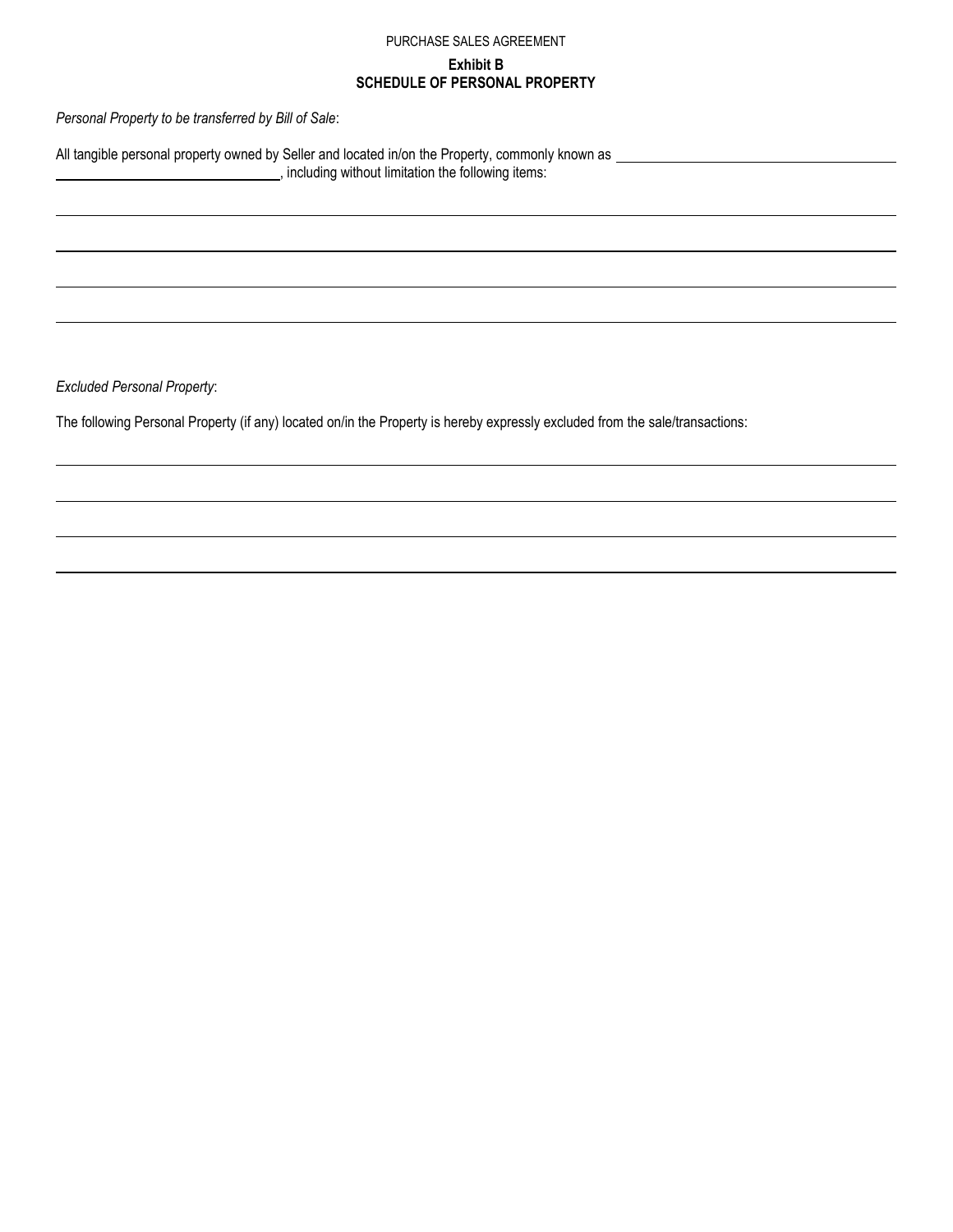# Exhibit B SCHEDULE OF PERSONAL PROPERTY

Personal Property to be transferred by Bill of Sale:

All tangible personal property owned by Seller and located in/on the Property, commonly known as example that the Property of the Property commonly known as the property of the Property of the Property commonly known as  $\$ , including without limitation the following items:

Excluded Personal Property:

 $\overline{\phantom{a}}$ 

The following Personal Property (if any) located on/in the Property is hereby expressly excluded from the sale/transactions: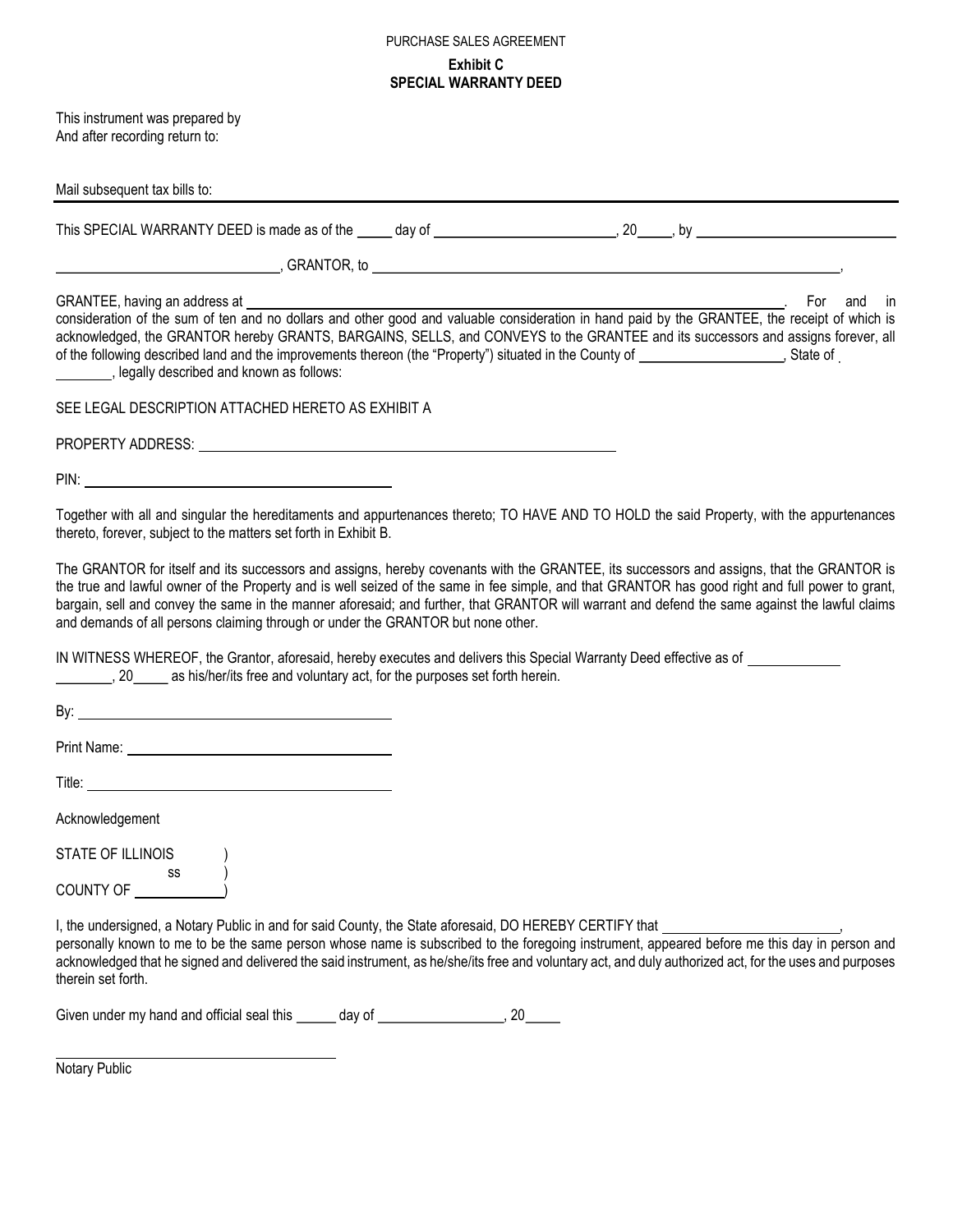# PURCHASE SALES AGREEMENT Exhibit C SPECIAL WARRANTY DEED

This instrument was prepared by And after recording return to:

| Mail subsequent tax bills to:                                                                                                                                                                                                                                                                                                                                                                                                                                                                                                        |
|--------------------------------------------------------------------------------------------------------------------------------------------------------------------------------------------------------------------------------------------------------------------------------------------------------------------------------------------------------------------------------------------------------------------------------------------------------------------------------------------------------------------------------------|
|                                                                                                                                                                                                                                                                                                                                                                                                                                                                                                                                      |
|                                                                                                                                                                                                                                                                                                                                                                                                                                                                                                                                      |
| acknowledged, the GRANTOR hereby GRANTS, BARGAINS, SELLS, and CONVEYS to the GRANTEE and its successors and assigns forever, all<br>_________, legally described and known as follows:                                                                                                                                                                                                                                                                                                                                               |
| SEE LEGAL DESCRIPTION ATTACHED HERETO AS EXHIBIT A                                                                                                                                                                                                                                                                                                                                                                                                                                                                                   |
| PROPERTY ADDRESS: University of the contract of the contract of the contract of the contract of the contract of the contract of the contract of the contract of the contract of the contract of the contract of the contract o                                                                                                                                                                                                                                                                                                       |
|                                                                                                                                                                                                                                                                                                                                                                                                                                                                                                                                      |
| Together with all and singular the hereditaments and appurtenances thereto; TO HAVE AND TO HOLD the said Property, with the appurtenances<br>thereto, forever, subject to the matters set forth in Exhibit B.                                                                                                                                                                                                                                                                                                                        |
| The GRANTOR for itself and its successors and assigns, hereby covenants with the GRANTEE, its successors and assigns, that the GRANTOR is<br>the true and lawful owner of the Property and is well seized of the same in fee simple, and that GRANTOR has good right and full power to grant,<br>bargain, sell and convey the same in the manner aforesaid; and further, that GRANTOR will warrant and defend the same against the lawful claims<br>and demands of all persons claiming through or under the GRANTOR but none other. |
| IN WITNESS WHEREOF, the Grantor, aforesaid, hereby executes and delivers this Special Warranty Deed effective as of<br>. 20 _____ as his/her/its free and voluntary act, for the purposes set forth herein.                                                                                                                                                                                                                                                                                                                          |
|                                                                                                                                                                                                                                                                                                                                                                                                                                                                                                                                      |
|                                                                                                                                                                                                                                                                                                                                                                                                                                                                                                                                      |
|                                                                                                                                                                                                                                                                                                                                                                                                                                                                                                                                      |
| Acknowledgement                                                                                                                                                                                                                                                                                                                                                                                                                                                                                                                      |
| STATE OF ILLINOIS                                                                                                                                                                                                                                                                                                                                                                                                                                                                                                                    |
| SS<br>COUNTY OF                                                                                                                                                                                                                                                                                                                                                                                                                                                                                                                      |
| I, the undersigned, a Notary Public in and for said County, the State aforesaid, DO HEREBY CERTIFY that<br>personally known to me to be the same person whose name is subscribed to the foregoing instrument, appeared before me this day in person and<br>acknowledged that he signed and delivered the said instrument, as he/she/its free and voluntary act, and duly authorized act, for the uses and purposes<br>therein set forth.                                                                                             |

Given under my hand and official seal this \_\_\_\_\_ day of \_\_\_\_\_\_\_\_\_\_\_\_\_\_\_\_\_, 20\_\_\_\_

 Notary Public